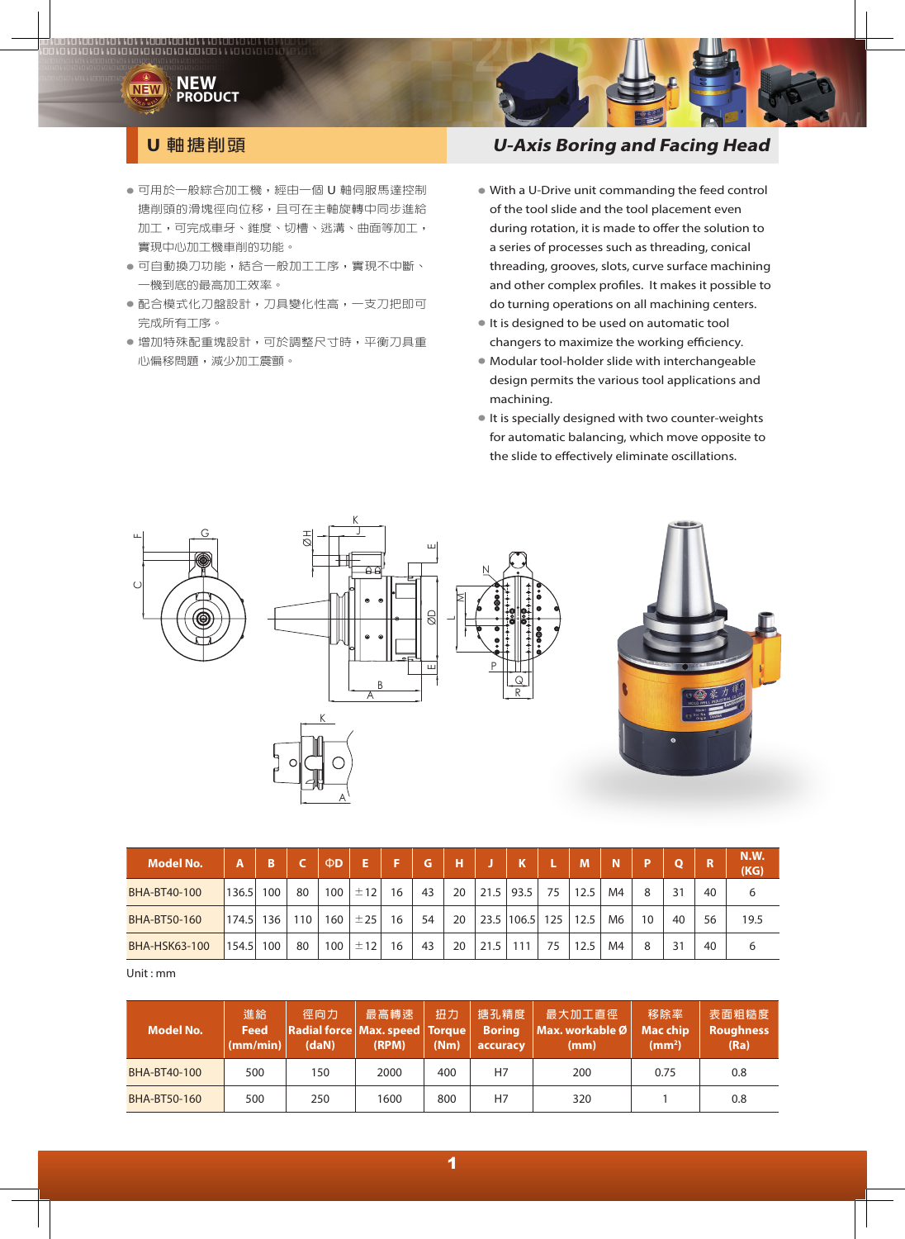

- 可用於一般綜合加工機,經由一個 U 軸伺服馬達控制 搪削頭的滑塊徑向位移,且可在主軸旋轉中同步進給 加工,可完成車牙、錐度、切槽、逃溝、曲面等加工, 實現中心加工機車削的功能。
- 可自動換刀功能,結合一般加工工序,實現不中斷、 一機到底的最高加工效率。
- 配合模式化刀盤設計,刀具變化性高,一支刀把即可 完成所有工序。
- 增加特殊配重塊設計,可於調整尺寸時,平衡刀具重 心偏移問題,減少加工震顫。

## **U 軸搪削頭 U-Axis Boring and Facing Head**

- With a U-Drive unit commanding the feed control of the tool slide and the tool placement even during rotation, it is made to offer the solution to a series of processes such as threading, conical threading, grooves, slots, curve surface machining and other complex profiles. It makes it possible to do turning operations on all machining centers.
- It is designed to be used on automatic tool changers to maximize the working efficiency.
- Modular tool-holder slide with interchangeable design permits the various tool applications and machining.
- It is specially designed with two counter-weights for automatic balancing, which move opposite to the slide to effectively eliminate oscillations.



| <b>Model No.</b>     | Α     | B   |     | ΦD  | Е   | Е  | G  | н  |      |       |     | M    | N              | D  | $\Omega$ | m  | <b>N.W.</b><br>(KG) |
|----------------------|-------|-----|-----|-----|-----|----|----|----|------|-------|-----|------|----------------|----|----------|----|---------------------|
| BHA-BT40-100         | 136.5 | 100 | 80  | 100 | ±12 | 16 | 43 | 20 | 21.5 | 93.5  | 75  | 12.5 | M4             | 8  | 31       | 40 | 6                   |
| BHA-BT50-160         | 174.5 | 136 | 110 | 160 | ±25 | 16 | 54 | 20 | 23.5 | 106.5 | 125 | 12.5 | M <sub>6</sub> | 10 | 40       | 56 | 19.5                |
| <b>BHA-HSK63-100</b> | 154.5 | 100 | 80  | 100 | ±12 | 16 | 43 | 20 | 21.5 | 111   | 75  | 12.5 | M4             | 8  | 31       | 40 | 6                   |

Unit : mm

| Model No.    | 進給<br><b>Feed</b><br>(mm/min) | 徑向力<br>Radial force   Max. speed   Torque  <br>(daN) | 最高轉速<br>(RPM) | 扭力<br>(Nm) | 搪孔精度<br><b>Boring</b><br>accuracy | 最大加工直徑  <br>Max. workable Ø<br>(mm) | 移除率<br><b>Mac chip</b><br>(mm <sup>2</sup> ) | 表面粗糙度<br><b>Roughness</b><br>(Ra) |
|--------------|-------------------------------|------------------------------------------------------|---------------|------------|-----------------------------------|-------------------------------------|----------------------------------------------|-----------------------------------|
| BHA-BT40-100 | 500                           | 150                                                  | 2000          | 400        | Η7                                | 200                                 | 0.75                                         | 0.8                               |
| BHA-BT50-160 | 500                           | 250                                                  | 1600          | 800        | H7                                | 320                                 |                                              | 0.8                               |